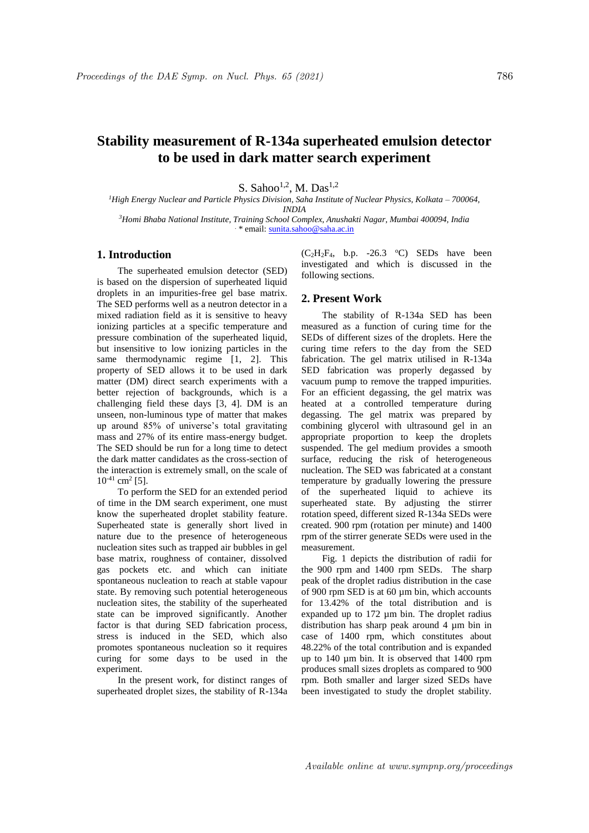# **Stability measurement of R-134a superheated emulsion detector to be used in dark matter search experiment**

S. Sahoo $^{1,2}$ , M. Das $^{1,2}$ 

*<sup>1</sup>High Energy Nuclear and Particle Physics Division, Saha Institute of Nuclear Physics, Kolkata – 700064, INDIA* 

*<sup>3</sup>Homi Bhaba National Institute, Training School Complex, Anushakti Nagar, Mumbai 400094, India* . \* email: sunita.sahoo@saha.ac.in

# **1. Introduction**

The superheated emulsion detector (SED) is based on the dispersion of superheated liquid droplets in an impurities-free gel base matrix. The SED performs well as a neutron detector in a mixed radiation field as it is sensitive to heavy ionizing particles at a specific temperature and pressure combination of the superheated liquid, but insensitive to low ionizing particles in the same thermodynamic regime [1, 2]. This property of SED allows it to be used in dark matter (DM) direct search experiments with a better rejection of backgrounds, which is a challenging field these days [3, 4]. DM is an unseen, non-luminous type of matter that makes up around 85% of universe's total gravitating mass and 27% of its entire mass-energy budget. The SED should be run for a long time to detect the dark matter candidates as the cross-section of the interaction is extremely small, on the scale of  $10^{-41}$  cm<sup>2</sup> [5].

To perform the SED for an extended period of time in the DM search experiment, one must know the superheated droplet stability feature. Superheated state is generally short lived in nature due to the presence of heterogeneous nucleation sites such as trapped air bubbles in gel base matrix, roughness of container, dissolved gas pockets etc. and which can initiate spontaneous nucleation to reach at stable vapour state. By removing such potential heterogeneous nucleation sites, the stability of the superheated state can be improved significantly. Another factor is that during SED fabrication process, stress is induced in the SED, which also promotes spontaneous nucleation so it requires curing for some days to be used in the experiment.

In the present work, for distinct ranges of superheated droplet sizes, the stability of R-134a  $(C_2H_2F_4$ , b.p. -26.3 °C) SEDs have been investigated and which is discussed in the following sections.

## **2. Present Work**

The stability of R-134a SED has been measured as a function of curing time for the SEDs of different sizes of the droplets. Here the curing time refers to the day from the SED fabrication. The gel matrix utilised in R-134a SED fabrication was properly degassed by vacuum pump to remove the trapped impurities. For an efficient degassing, the gel matrix was heated at a controlled temperature during degassing. The gel matrix was prepared by combining glycerol with ultrasound gel in an appropriate proportion to keep the droplets suspended. The gel medium provides a smooth surface, reducing the risk of heterogeneous nucleation. The SED was fabricated at a constant temperature by gradually lowering the pressure of the superheated liquid to achieve its superheated state. By adjusting the stirrer rotation speed, different sized R-134a SEDs were created. 900 rpm (rotation per minute) and 1400 rpm of the stirrer generate SEDs were used in the measurement.

Fig. 1 depicts the distribution of radii for the 900 rpm and 1400 rpm SEDs. The sharp peak of the droplet radius distribution in the case of 900 rpm SED is at 60  $\mu$ m bin, which accounts for 13.42% of the total distribution and is expanded up to 172 um bin. The droplet radius distribution has sharp peak around 4 µm bin in case of 1400 rpm, which constitutes about 48.22% of the total contribution and is expanded up to 140 µm bin. It is observed that 1400 rpm produces small sizes droplets as compared to 900 rpm. Both smaller and larger sized SEDs have been investigated to study the droplet stability.